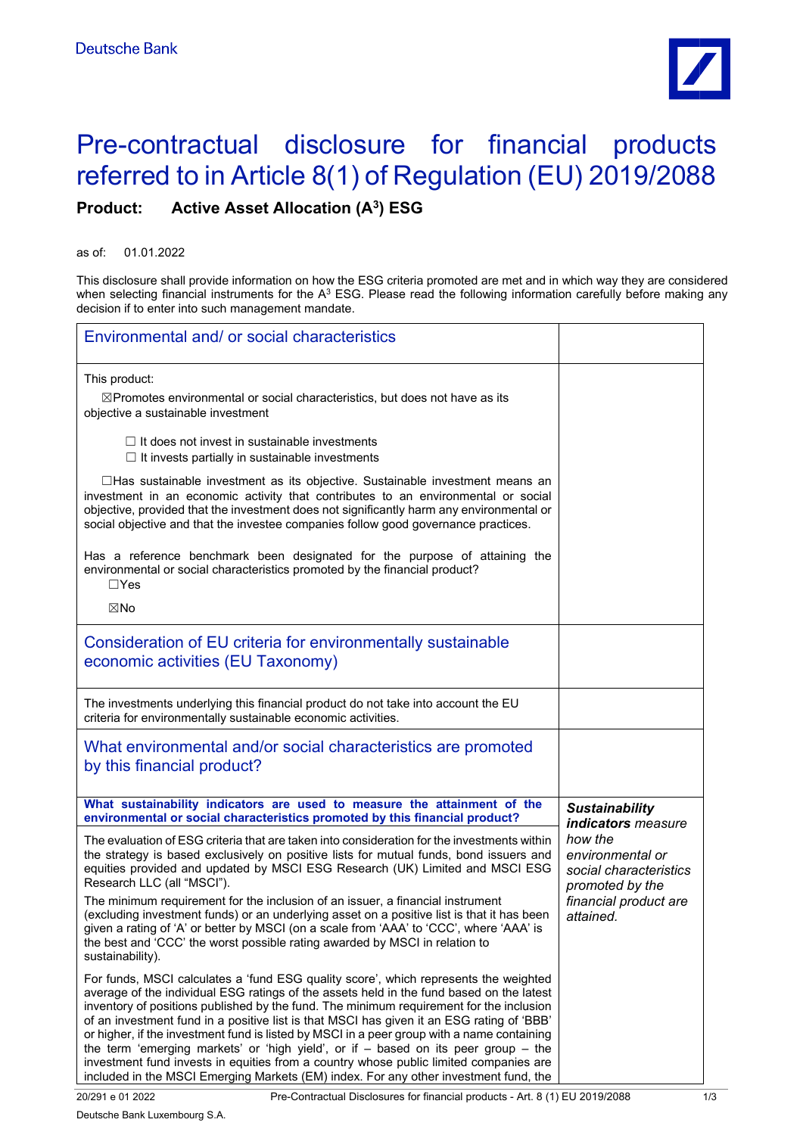

## Pre-contractual disclosure for financial products referred to in Article 8(1) of Regulation (EU) 2019/2088 **Product: Active Asset Allocation (A3) ESG**

as of: 01.01.2022

This disclosure shall provide information on how the ESG criteria promoted are met and in which way they are considered when selecting financial instruments for the A $^3$  ESG. Please read the following information carefully before making any decision if to enter into such management mandate.

| Environmental and/ or social characteristics                                                                                                                                                                                                                                                                                                                                                                                                                                                                                                                                                                                                                                                                                                      |                                                                          |
|---------------------------------------------------------------------------------------------------------------------------------------------------------------------------------------------------------------------------------------------------------------------------------------------------------------------------------------------------------------------------------------------------------------------------------------------------------------------------------------------------------------------------------------------------------------------------------------------------------------------------------------------------------------------------------------------------------------------------------------------------|--------------------------------------------------------------------------|
| This product:<br>$\boxtimes$ Promotes environmental or social characteristics, but does not have as its<br>objective a sustainable investment                                                                                                                                                                                                                                                                                                                                                                                                                                                                                                                                                                                                     |                                                                          |
| $\Box$ It does not invest in sustainable investments<br>$\Box$ It invests partially in sustainable investments                                                                                                                                                                                                                                                                                                                                                                                                                                                                                                                                                                                                                                    |                                                                          |
| $\Box$ Has sustainable investment as its objective. Sustainable investment means an<br>investment in an economic activity that contributes to an environmental or social<br>objective, provided that the investment does not significantly harm any environmental or<br>social objective and that the investee companies follow good governance practices.                                                                                                                                                                                                                                                                                                                                                                                        |                                                                          |
| Has a reference benchmark been designated for the purpose of attaining the<br>environmental or social characteristics promoted by the financial product?<br>$\Box$ Yes                                                                                                                                                                                                                                                                                                                                                                                                                                                                                                                                                                            |                                                                          |
| ⊠No                                                                                                                                                                                                                                                                                                                                                                                                                                                                                                                                                                                                                                                                                                                                               |                                                                          |
| Consideration of EU criteria for environmentally sustainable<br>economic activities (EU Taxonomy)                                                                                                                                                                                                                                                                                                                                                                                                                                                                                                                                                                                                                                                 |                                                                          |
| The investments underlying this financial product do not take into account the EU<br>criteria for environmentally sustainable economic activities.                                                                                                                                                                                                                                                                                                                                                                                                                                                                                                                                                                                                |                                                                          |
| What environmental and/or social characteristics are promoted<br>by this financial product?                                                                                                                                                                                                                                                                                                                                                                                                                                                                                                                                                                                                                                                       |                                                                          |
| What sustainability indicators are used to measure the attainment of the<br>environmental or social characteristics promoted by this financial product?                                                                                                                                                                                                                                                                                                                                                                                                                                                                                                                                                                                           | <b>Sustainability</b><br>indicators measure                              |
| The evaluation of ESG criteria that are taken into consideration for the investments within<br>the strategy is based exclusively on positive lists for mutual funds, bond issuers and<br>equities provided and updated by MSCI ESG Research (UK) Limited and MSCI ESG<br>Research LLC (all "MSCI").                                                                                                                                                                                                                                                                                                                                                                                                                                               | how the<br>environmental or<br>social characteristics<br>promoted by the |
| The minimum requirement for the inclusion of an issuer, a financial instrument<br>(excluding investment funds) or an underlying asset on a positive list is that it has been<br>given a rating of 'A' or better by MSCI (on a scale from 'AAA' to 'CCC', where 'AAA' is<br>the best and 'CCC' the worst possible rating awarded by MSCI in relation to<br>sustainability).                                                                                                                                                                                                                                                                                                                                                                        | financial product are<br>attained.                                       |
| For funds, MSCI calculates a 'fund ESG quality score', which represents the weighted<br>average of the individual ESG ratings of the assets held in the fund based on the latest<br>inventory of positions published by the fund. The minimum requirement for the inclusion<br>of an investment fund in a positive list is that MSCI has given it an ESG rating of 'BBB'<br>or higher, if the investment fund is listed by MSCI in a peer group with a name containing<br>the term 'emerging markets' or 'high yield', or if $-$ based on its peer group $-$ the<br>investment fund invests in equities from a country whose public limited companies are<br>included in the MSCI Emerging Markets (EM) index. For any other investment fund, the |                                                                          |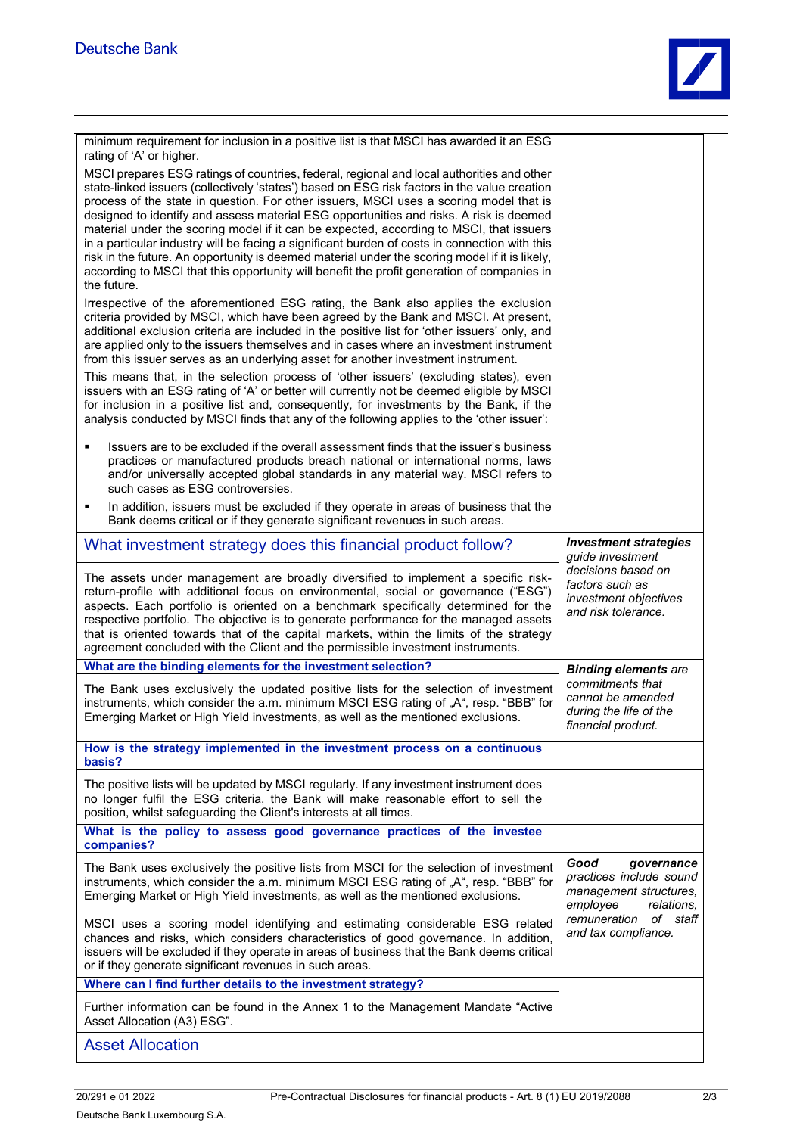

| minimum requirement for inclusion in a positive list is that MSCI has awarded it an ESG<br>rating of 'A' or higher.                                                                                                                                                                                                                                                                                                                                                                                                                   |                                                                                                   |
|---------------------------------------------------------------------------------------------------------------------------------------------------------------------------------------------------------------------------------------------------------------------------------------------------------------------------------------------------------------------------------------------------------------------------------------------------------------------------------------------------------------------------------------|---------------------------------------------------------------------------------------------------|
| MSCI prepares ESG ratings of countries, federal, regional and local authorities and other<br>state-linked issuers (collectively 'states') based on ESG risk factors in the value creation<br>process of the state in question. For other issuers, MSCI uses a scoring model that is                                                                                                                                                                                                                                                   |                                                                                                   |
| designed to identify and assess material ESG opportunities and risks. A risk is deemed<br>material under the scoring model if it can be expected, according to MSCI, that issuers<br>in a particular industry will be facing a significant burden of costs in connection with this<br>risk in the future. An opportunity is deemed material under the scoring model if it is likely,<br>according to MSCI that this opportunity will benefit the profit generation of companies in<br>the future.                                     |                                                                                                   |
| Irrespective of the aforementioned ESG rating, the Bank also applies the exclusion<br>criteria provided by MSCI, which have been agreed by the Bank and MSCI. At present,<br>additional exclusion criteria are included in the positive list for 'other issuers' only, and<br>are applied only to the issuers themselves and in cases where an investment instrument<br>from this issuer serves as an underlying asset for another investment instrument.                                                                             |                                                                                                   |
| This means that, in the selection process of 'other issuers' (excluding states), even<br>issuers with an ESG rating of 'A' or better will currently not be deemed eligible by MSCI<br>for inclusion in a positive list and, consequently, for investments by the Bank, if the<br>analysis conducted by MSCI finds that any of the following applies to the 'other issuer':                                                                                                                                                            |                                                                                                   |
| Issuers are to be excluded if the overall assessment finds that the issuer's business<br>٠<br>practices or manufactured products breach national or international norms, laws<br>and/or universally accepted global standards in any material way. MSCI refers to<br>such cases as ESG controversies.                                                                                                                                                                                                                                 |                                                                                                   |
| In addition, issuers must be excluded if they operate in areas of business that the<br>Е<br>Bank deems critical or if they generate significant revenues in such areas.                                                                                                                                                                                                                                                                                                                                                               |                                                                                                   |
| What investment strategy does this financial product follow?                                                                                                                                                                                                                                                                                                                                                                                                                                                                          | <b>Investment strategies</b><br>guide investment                                                  |
| The assets under management are broadly diversified to implement a specific risk-<br>return-profile with additional focus on environmental, social or governance ("ESG")<br>aspects. Each portfolio is oriented on a benchmark specifically determined for the<br>respective portfolio. The objective is to generate performance for the managed assets<br>that is oriented towards that of the capital markets, within the limits of the strategy<br>agreement concluded with the Client and the permissible investment instruments. | decisions based on<br>factors such as<br>investment objectives<br>and risk tolerance.             |
| What are the binding elements for the investment selection?                                                                                                                                                                                                                                                                                                                                                                                                                                                                           | <b>Binding elements are</b>                                                                       |
| The Bank uses exclusively the updated positive lists for the selection of investment<br>instruments, which consider the a.m. minimum MSCI ESG rating of "A", resp. "BBB" for<br>Emerging Market or High Yield investments, as well as the mentioned exclusions.                                                                                                                                                                                                                                                                       | commitments that<br>cannot be amended<br>during the life of the<br>financial product.             |
| How is the strategy implemented in the investment process on a continuous<br>basis?                                                                                                                                                                                                                                                                                                                                                                                                                                                   |                                                                                                   |
| The positive lists will be updated by MSCI regularly. If any investment instrument does<br>no longer fulfil the ESG criteria, the Bank will make reasonable effort to sell the<br>position, whilst safeguarding the Client's interests at all times.                                                                                                                                                                                                                                                                                  |                                                                                                   |
| What is the policy to assess good governance practices of the investee<br>companies?                                                                                                                                                                                                                                                                                                                                                                                                                                                  |                                                                                                   |
| The Bank uses exclusively the positive lists from MSCI for the selection of investment<br>instruments, which consider the a.m. minimum MSCI ESG rating of "A", resp. "BBB" for<br>Emerging Market or High Yield investments, as well as the mentioned exclusions.                                                                                                                                                                                                                                                                     | Good<br>governance<br>practices include sound<br>management structures,<br>employee<br>relations. |
| MSCI uses a scoring model identifying and estimating considerable ESG related<br>chances and risks, which considers characteristics of good governance. In addition,<br>issuers will be excluded if they operate in areas of business that the Bank deems critical<br>or if they generate significant revenues in such areas.                                                                                                                                                                                                         | remuneration of staff<br>and tax compliance.                                                      |
| Where can I find further details to the investment strategy?                                                                                                                                                                                                                                                                                                                                                                                                                                                                          |                                                                                                   |
| Further information can be found in the Annex 1 to the Management Mandate "Active"<br>Asset Allocation (A3) ESG".                                                                                                                                                                                                                                                                                                                                                                                                                     |                                                                                                   |
| <b>Asset Allocation</b>                                                                                                                                                                                                                                                                                                                                                                                                                                                                                                               |                                                                                                   |